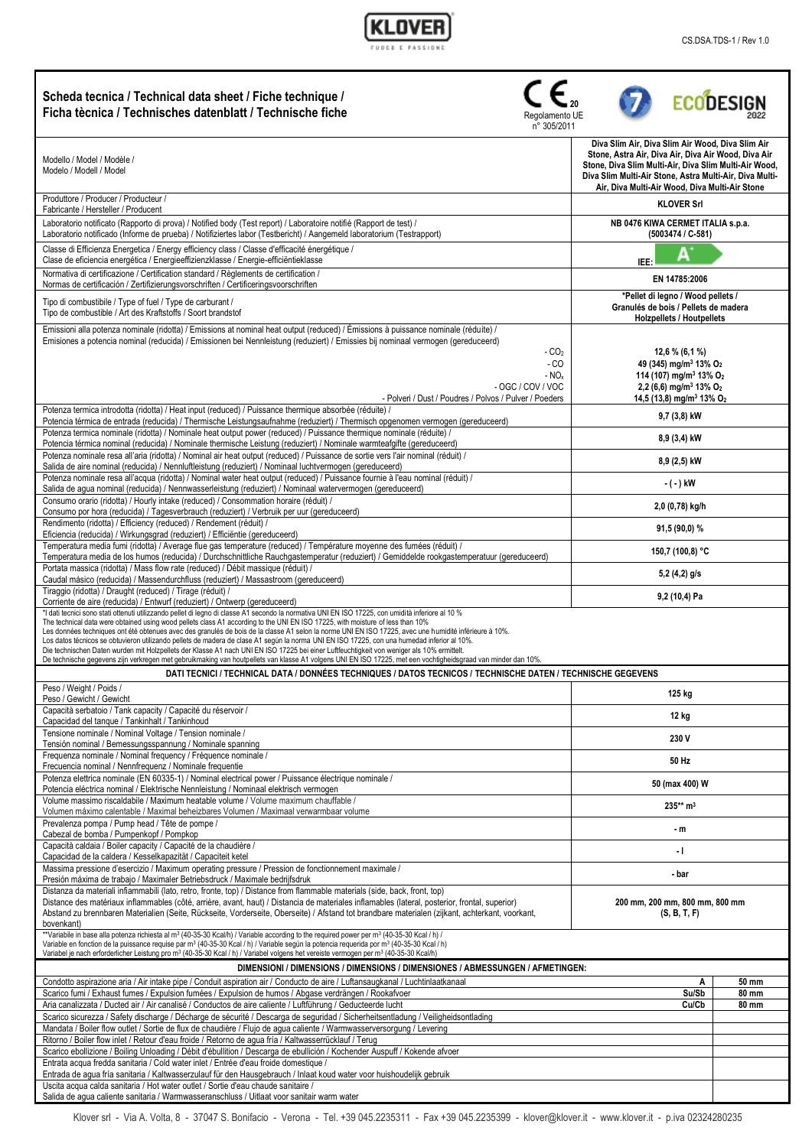

| Scheda tecnica / Technical data sheet / Fiche technique /<br>Ficha tècnica / Technisches datenblatt / Technische fiche<br>Regolamento UE<br>n° 305/2011                                                                                                                                                                                                                                                                                                                                                                                                                                                                                                                                                                                                                                                                                                                                                                                                                                   |                                                                                                                                                                                                                                                                               | <b>ECODESIGN</b>      |
|-------------------------------------------------------------------------------------------------------------------------------------------------------------------------------------------------------------------------------------------------------------------------------------------------------------------------------------------------------------------------------------------------------------------------------------------------------------------------------------------------------------------------------------------------------------------------------------------------------------------------------------------------------------------------------------------------------------------------------------------------------------------------------------------------------------------------------------------------------------------------------------------------------------------------------------------------------------------------------------------|-------------------------------------------------------------------------------------------------------------------------------------------------------------------------------------------------------------------------------------------------------------------------------|-----------------------|
| Modello / Model / Modèle /<br>Modelo / Modell / Model                                                                                                                                                                                                                                                                                                                                                                                                                                                                                                                                                                                                                                                                                                                                                                                                                                                                                                                                     | Diva Slim Air, Diva Slim Air Wood, Diva Slim Air<br>Stone, Astra Air, Diva Air, Diva Air Wood, Diva Air<br>Stone, Diva Slim Multi-Air, Diva Slim Multi-Air Wood,<br>Diva Slim Multi-Air Stone, Astra Multi-Air, Diva Multi-<br>Air, Diva Multi-Air Wood, Diva Multi-Air Stone |                       |
| Produttore / Producer / Producteur /<br>Fabricante / Hersteller / Producent                                                                                                                                                                                                                                                                                                                                                                                                                                                                                                                                                                                                                                                                                                                                                                                                                                                                                                               | <b>KLOVER Srl</b>                                                                                                                                                                                                                                                             |                       |
| Laboratorio notificato (Rapporto di prova) / Notified body (Test report) / Laboratoire notifié (Rapport de test) /<br>Laboratorio notificado (Informe de prueba) / Notifiziertes labor (Testbericht) / Aangemeld laboratorium (Testrapport)                                                                                                                                                                                                                                                                                                                                                                                                                                                                                                                                                                                                                                                                                                                                               | NB 0476 KIWA CERMET ITALIA s.p.a.<br>(5003474 / C-581)                                                                                                                                                                                                                        |                       |
| Classe di Efficienza Energetica / Energy efficiency class / Classe d'efficacité énergétique /<br>Clase de eficiencia energética / Energieeffizienzklasse / Energie-efficiëntieklasse                                                                                                                                                                                                                                                                                                                                                                                                                                                                                                                                                                                                                                                                                                                                                                                                      | Δ<br>IEE:                                                                                                                                                                                                                                                                     |                       |
| Normativa di certificazione / Certification standard / Règlements de certification /<br>Normas de certificación / Zertifizierungsvorschriften / Certificeringsvoorschriften                                                                                                                                                                                                                                                                                                                                                                                                                                                                                                                                                                                                                                                                                                                                                                                                               | EN 14785:2006                                                                                                                                                                                                                                                                 |                       |
| Tipo di combustibile / Type of fuel / Type de carburant /<br>Tipo de combustible / Art des Kraftstoffs / Soort brandstof                                                                                                                                                                                                                                                                                                                                                                                                                                                                                                                                                                                                                                                                                                                                                                                                                                                                  | *Pellet di legno / Wood pellets /<br>Granulés de bois / Pellets de madera<br><b>Holzpellets / Houtpellets</b>                                                                                                                                                                 |                       |
| Emissioni alla potenza nominale (ridotta) / Emissions at nominal heat output (reduced) / Émissions à puissance nominale (réduite) /<br>Emisiones a potencia nominal (reducida) / Emissionen bei Nennleistung (reduziert) / Emissies bij nominaal vermogen (gereduceerd)<br>$-CO2$<br>- CO<br>$- NOx$<br>- OGC / COV / VOC                                                                                                                                                                                                                                                                                                                                                                                                                                                                                                                                                                                                                                                                 | $12,6%$ (6,1%)<br>49 (345) mg/m <sup>3</sup> 13% O <sub>2</sub><br>114 (107) mg/m <sup>3</sup> 13% O <sub>2</sub><br>2,2 (6,6) mg/m <sup>3</sup> 13% O <sub>2</sub><br>14,5 (13,8) mg/m <sup>3</sup> 13% O <sub>2</sub>                                                       |                       |
| - Polveri / Dust / Poudres / Polvos / Pulver / Poeders<br>Potenza termica introdotta (ridotta) / Heat input (reduced) / Puissance thermique absorbée (réduite) /                                                                                                                                                                                                                                                                                                                                                                                                                                                                                                                                                                                                                                                                                                                                                                                                                          | 9,7 (3,8) kW                                                                                                                                                                                                                                                                  |                       |
| Potencia térmica de entrada (reducida) / Thermische Leistungsaufnahme (reduziert) / Thermisch opgenomen vermogen (gereduceerd)<br>Potenza termica nominale (ridotta) / Nominale heat output power (reduced) / Puissance thermique nominale (réduite) /                                                                                                                                                                                                                                                                                                                                                                                                                                                                                                                                                                                                                                                                                                                                    | 8,9 (3,4) kW                                                                                                                                                                                                                                                                  |                       |
| Potencia térmica nominal (reducida) / Nominale thermische Leistung (reduziert) / Nominale warmteafgifte (gereduceerd)<br>Potenza nominale resa all'aria (ridotta) / Nominal air heat output (reduced) / Puissance de sortie vers l'air nominal (réduit) /                                                                                                                                                                                                                                                                                                                                                                                                                                                                                                                                                                                                                                                                                                                                 | 8,9 (2,5) kW                                                                                                                                                                                                                                                                  |                       |
| Salida de aire nominal (reducida) / Nennluftleistung (reduziert) / Nominaal luchtvermogen (gereduceerd)<br>Potenza nominale resa all'acqua (ridotta) / Nominal water heat output (reduced) / Puissance fournie à l'eau nominal (réduit) /                                                                                                                                                                                                                                                                                                                                                                                                                                                                                                                                                                                                                                                                                                                                                 | - ( - ) kW                                                                                                                                                                                                                                                                    |                       |
| Salida de agua nominal (reducida) / Nennwasserleistung (reduziert) / Nominaal watervermogen (gereduceerd)<br>Consumo orario (ridotta) / Hourly intake (reduced) / Consommation horaire (réduit) /                                                                                                                                                                                                                                                                                                                                                                                                                                                                                                                                                                                                                                                                                                                                                                                         | 2,0 (0,78) kg/h                                                                                                                                                                                                                                                               |                       |
| Consumo por hora (reducida) / Tagesverbrauch (reduziert) / Verbruik per uur (gereduceerd)<br>Rendimento (ridotta) / Efficiency (reduced) / Rendement (réduit) /                                                                                                                                                                                                                                                                                                                                                                                                                                                                                                                                                                                                                                                                                                                                                                                                                           | 91,5 (90,0) %                                                                                                                                                                                                                                                                 |                       |
| Eficiencia (reducida) / Wirkungsgrad (reduziert) / Efficiëntie (gereduceerd)<br>Temperatura media fumi (ridotta) / Average flue gas temperature (reduced) / Température moyenne des fumées (réduit) /                                                                                                                                                                                                                                                                                                                                                                                                                                                                                                                                                                                                                                                                                                                                                                                     | 150,7 (100,8) °C                                                                                                                                                                                                                                                              |                       |
| Temperatura media de los humos (reducida) / Durchschnittliche Rauchgastemperatur (reduziert) / Gemiddelde rookgastemperatuur (gereduceerd)<br>Portata massica (ridotta) / Mass flow rate (reduced) / Débit massique (réduit) /                                                                                                                                                                                                                                                                                                                                                                                                                                                                                                                                                                                                                                                                                                                                                            | $5,2(4,2)$ g/s                                                                                                                                                                                                                                                                |                       |
| Caudal másico (reducida) / Massendurchfluss (reduziert) / Massastroom (gereduceerd)<br>Tiraggio (ridotta) / Draught (reduced) / Tirage (réduit) /                                                                                                                                                                                                                                                                                                                                                                                                                                                                                                                                                                                                                                                                                                                                                                                                                                         | 9,2 (10,4) Pa                                                                                                                                                                                                                                                                 |                       |
| Corriente de aire (reducida) / Entwurf (reduziert) / Ontwerp (gereduceerd)<br>*I dati tecnici sono stati ottenuti utilizzando pellet di legno di classe A1 secondo la normativa UNI EN ISO 17225, con umidità inferiore al 10 %<br>The technical data were obtained using wood pellets class A1 according to the UNI EN ISO 17225, with moisture of less than 10%<br>Les données techniques ont été obtenues avec des granulés de bois de la classe A1 selon la norme UNI EN ISO 17225, avec une humidité inférieure à 10%.<br>Los datos técnicos se obtuvieron utilizando pellets de madera de clase A1 según la norma UNI EN ISO 17225, con una humedad inferior al 10%.<br>Die technischen Daten wurden mit Holzpellets der Klasse A1 nach UNI EN ISO 17225 bei einer Luftfeuchtigkeit von weniger als 10% ermittelt.<br>De technische gegevens zijn verkregen met gebruikmaking van houtpellets van klasse A1 volgens UNI EN ISO 17225, met een vochtigheidsgraad van minder dan 10%. |                                                                                                                                                                                                                                                                               |                       |
| DATI TECNICI / TECHNICAL DATA / DONNÉES TECHNIQUES / DATOS TECNICOS / TECHNISCHE DATEN / TECHNISCHE GEGEVENS<br>Peso / Weight / Poids /                                                                                                                                                                                                                                                                                                                                                                                                                                                                                                                                                                                                                                                                                                                                                                                                                                                   |                                                                                                                                                                                                                                                                               |                       |
| Peso / Gewicht / Gewicht<br>Capacità serbatoio / Tank capacity / Capacité du réservoir /                                                                                                                                                                                                                                                                                                                                                                                                                                                                                                                                                                                                                                                                                                                                                                                                                                                                                                  | 125 kg                                                                                                                                                                                                                                                                        |                       |
| Capacidad del tanque / Tankinhalt / Tankinhoud<br>Tensione nominale / Nominal Voltage / Tension nominale /                                                                                                                                                                                                                                                                                                                                                                                                                                                                                                                                                                                                                                                                                                                                                                                                                                                                                | 12 kg                                                                                                                                                                                                                                                                         |                       |
| Tensión nominal / Bemessungsspannung / Nominale spanning<br>Frequenza nominale / Nominal frequency / Fréquence nominale /                                                                                                                                                                                                                                                                                                                                                                                                                                                                                                                                                                                                                                                                                                                                                                                                                                                                 | 230 V                                                                                                                                                                                                                                                                         |                       |
| Frecuencia nominal / Nennfrequenz / Nominale frequentie<br>Potenza elettrica nominale (EN 60335-1) / Nominal electrical power / Puissance électrique nominale /                                                                                                                                                                                                                                                                                                                                                                                                                                                                                                                                                                                                                                                                                                                                                                                                                           | 50 Hz                                                                                                                                                                                                                                                                         |                       |
| Potencia eléctrica nominal / Elektrische Nennleistung / Nominaal elektrisch vermogen<br>Volume massimo riscaldabile / Maximum heatable volume / Volume maximum chauffable /                                                                                                                                                                                                                                                                                                                                                                                                                                                                                                                                                                                                                                                                                                                                                                                                               | 50 (max 400) W                                                                                                                                                                                                                                                                |                       |
| Volumen máximo calentable / Maximal beheizbares Volumen / Maximaal verwarmbaar volume<br>Prevalenza pompa / Pump head / Tête de pompe /                                                                                                                                                                                                                                                                                                                                                                                                                                                                                                                                                                                                                                                                                                                                                                                                                                                   | 235** m <sup>3</sup>                                                                                                                                                                                                                                                          |                       |
| Cabezal de bomba / Pumpenkopf / Pompkop<br>Capacità caldaia / Boiler capacity / Capacité de la chaudière /                                                                                                                                                                                                                                                                                                                                                                                                                                                                                                                                                                                                                                                                                                                                                                                                                                                                                | - m                                                                                                                                                                                                                                                                           |                       |
| Capacidad de la caldera / Kesselkapazität / Capaciteit ketel<br>Massima pressione d'esercizio / Maximum operating pressure / Pression de fonctionnement maximale /                                                                                                                                                                                                                                                                                                                                                                                                                                                                                                                                                                                                                                                                                                                                                                                                                        | - 1                                                                                                                                                                                                                                                                           |                       |
| Presión máxima de trabajo / Maximaler Betriebsdruck / Maximale bedrijfsdruk<br>Distanza da materiali infiammabili (lato, retro, fronte, top) / Distance from flammable materials (side, back, front, top)<br>Distance des matériaux inflammables (côté, arrière, avant, haut) / Distancia de materiales inflamables (lateral, posterior, frontal, superior)                                                                                                                                                                                                                                                                                                                                                                                                                                                                                                                                                                                                                               | - bar<br>200 mm, 200 mm, 800 mm, 800 mm                                                                                                                                                                                                                                       |                       |
| Abstand zu brennbaren Materialien (Seite, Rückseite, Vorderseite, Oberseite) / Afstand tot brandbare materialen (zijkant, achterkant, voorkant,<br>(S, B, T, F)<br>bovenkant)<br>**Variabile in base alla potenza richiesta al m <sup>3</sup> (40-35-30 Kcal/h) / Variable according to the required power per m <sup>3</sup> (40-35-30 Kcal / h) /<br>Variable en fonction de la puissance requise par m <sup>3</sup> (40-35-30 Kcal / h) / Variable según la potencia requerida por m <sup>3</sup> (40-35-30 Kcal / h)                                                                                                                                                                                                                                                                                                                                                                                                                                                                  |                                                                                                                                                                                                                                                                               |                       |
| Variabel je nach erforderlicher Leistung pro m <sup>3</sup> (40-35-30 Kcal / h) / Variabel volgens het vereiste vermogen per m <sup>3</sup> (40-35-30 Kcal/h)                                                                                                                                                                                                                                                                                                                                                                                                                                                                                                                                                                                                                                                                                                                                                                                                                             |                                                                                                                                                                                                                                                                               |                       |
| DIMENSIONI / DIMENSIONS / DIMENSIONS / DIMENSIONES / ABMESSUNGEN / AFMETINGEN:<br>Condotto aspirazione aria / Air intake pipe / Conduit aspiration air / Conducto de aire / Luftansaugkanal / Luchtinlaatkanaal                                                                                                                                                                                                                                                                                                                                                                                                                                                                                                                                                                                                                                                                                                                                                                           | A                                                                                                                                                                                                                                                                             | 50 mm                 |
| Scarico fumi / Exhaust fumes / Expulsion fumées / Expulsion de humos / Abgase verdrängen / Rookafvoer<br>Aria canalizzata / Ducted air / Air canalisé / Conductos de aire caliente / Luftführung / Geducteerde lucht                                                                                                                                                                                                                                                                                                                                                                                                                                                                                                                                                                                                                                                                                                                                                                      | Su/Sb<br>Cu/Cb                                                                                                                                                                                                                                                                | 80 mm<br><b>80 mm</b> |
| Scarico sicurezza / Safety discharge / Décharge de sécurité / Descarga de seguridad / Sicherheitsentladung / Veiligheidsontlading<br>Mandata / Boiler flow outlet / Sortie de flux de chaudière / Flujo de agua caliente / Warmwasserversorgung / Levering                                                                                                                                                                                                                                                                                                                                                                                                                                                                                                                                                                                                                                                                                                                                |                                                                                                                                                                                                                                                                               |                       |
| Ritorno / Boiler flow inlet / Retour d'eau froide / Retorno de agua fría / Kaltwasserrücklauf / Terug<br>Scarico ebollizione / Boiling Unloading / Débit d'ébullition / Descarga de ebullición / Kochender Auspuff / Kokende afvoer                                                                                                                                                                                                                                                                                                                                                                                                                                                                                                                                                                                                                                                                                                                                                       |                                                                                                                                                                                                                                                                               |                       |
| Entrata acqua fredda sanitaria / Cold water inlet / Entrée d'eau froide domestique /<br>Entrada de agua fría sanitaria / Kaltwasserzulauf für den Hausgebrauch / Inlaat koud water voor huishoudelijk gebruik                                                                                                                                                                                                                                                                                                                                                                                                                                                                                                                                                                                                                                                                                                                                                                             |                                                                                                                                                                                                                                                                               |                       |
| Uscita acqua calda sanitaria / Hot water outlet / Sortie d'eau chaude sanitaire /<br>Salida de agua caliente sanitaria / Warmwasseranschluss / Uitlaat voor sanitair warm water                                                                                                                                                                                                                                                                                                                                                                                                                                                                                                                                                                                                                                                                                                                                                                                                           |                                                                                                                                                                                                                                                                               |                       |

Klover srl - Via A. Volta, 8 - 37047 S. Bonifacio - Verona - Tel. +39 045.2235311 - Fax +39 045.2235399 - [klover@klover.it](mailto:klover@klover.it) - [www.klover.it](http://www.klover.it/) - p.iva 02324280235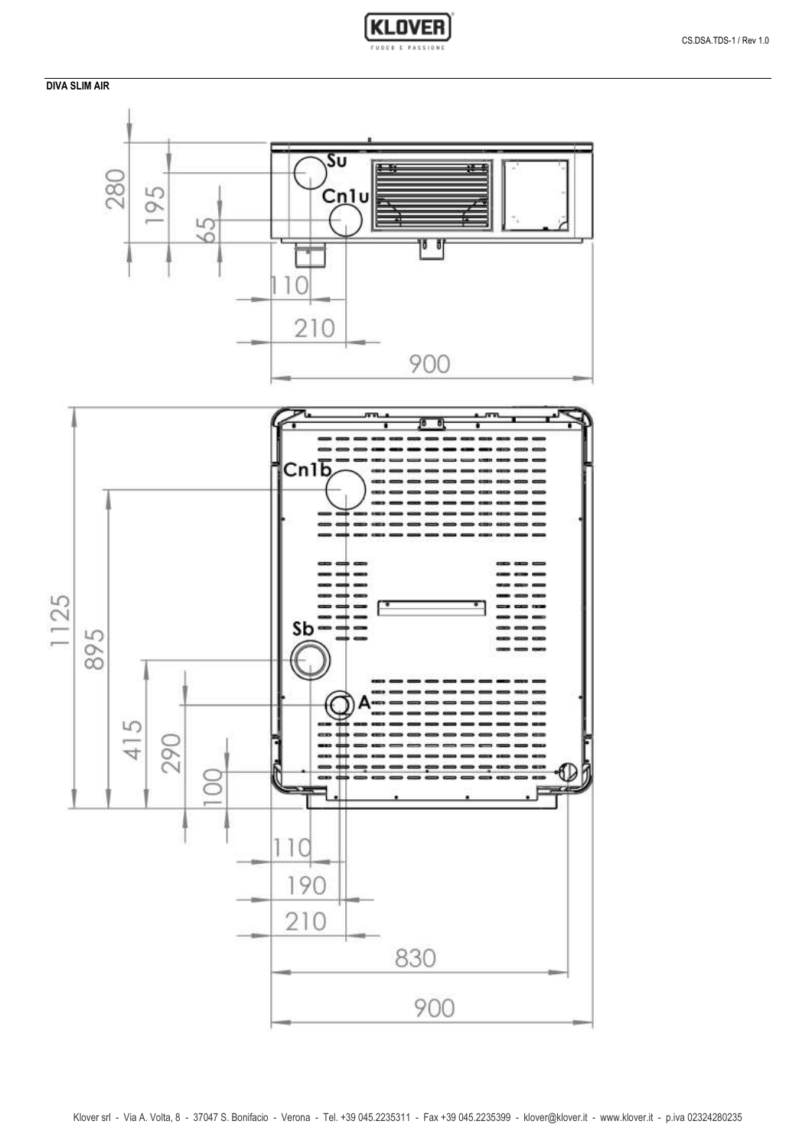## **DIVA SLIM AIR**